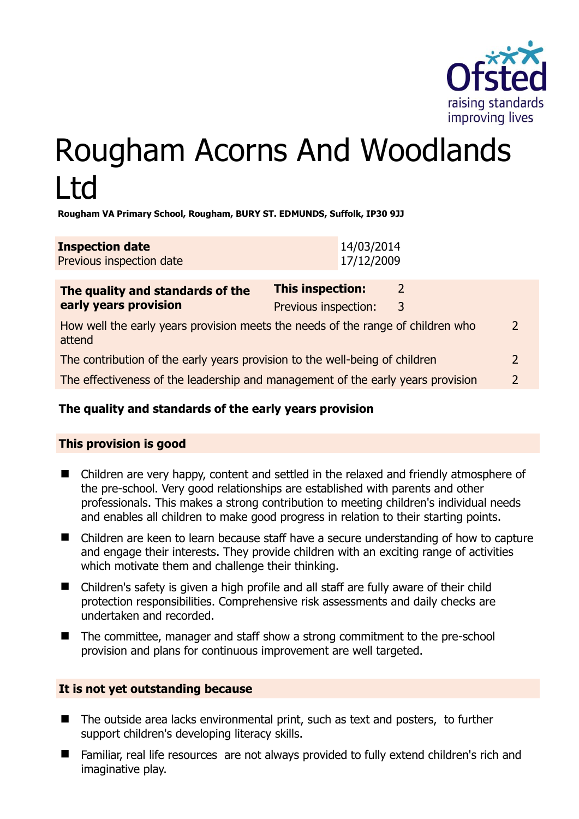

# Rougham Acorns And Woodlands Ltd

**Rougham VA Primary School, Rougham, BURY ST. EDMUNDS, Suffolk, IP30 9JJ** 

| <b>Inspection date</b>   | 14/03/2014 |
|--------------------------|------------|
| Previous inspection date | 17/12/2009 |

| The quality and standards of the<br>early years provision                                 | This inspection:     | 2 |               |
|-------------------------------------------------------------------------------------------|----------------------|---|---------------|
|                                                                                           | Previous inspection: | 3 |               |
| How well the early years provision meets the needs of the range of children who<br>attend |                      |   | $\mathcal{D}$ |
| The contribution of the early years provision to the well-being of children               |                      |   | $\mathcal{P}$ |
| The effectiveness of the leadership and management of the early years provision           |                      |   | C             |
|                                                                                           |                      |   |               |

# **The quality and standards of the early years provision**

# **This provision is good**

- Children are very happy, content and settled in the relaxed and friendly atmosphere of the pre-school. Very good relationships are established with parents and other professionals. This makes a strong contribution to meeting children's individual needs and enables all children to make good progress in relation to their starting points.
- Children are keen to learn because staff have a secure understanding of how to capture and engage their interests. They provide children with an exciting range of activities which motivate them and challenge their thinking.
- Children's safety is given a high profile and all staff are fully aware of their child protection responsibilities. Comprehensive risk assessments and daily checks are undertaken and recorded.
- The committee, manager and staff show a strong commitment to the pre-school provision and plans for continuous improvement are well targeted.

#### **It is not yet outstanding because**

- The outside area lacks environmental print, such as text and posters, to further support children's developing literacy skills.
- Familiar, real life resources are not always provided to fully extend children's rich and imaginative play.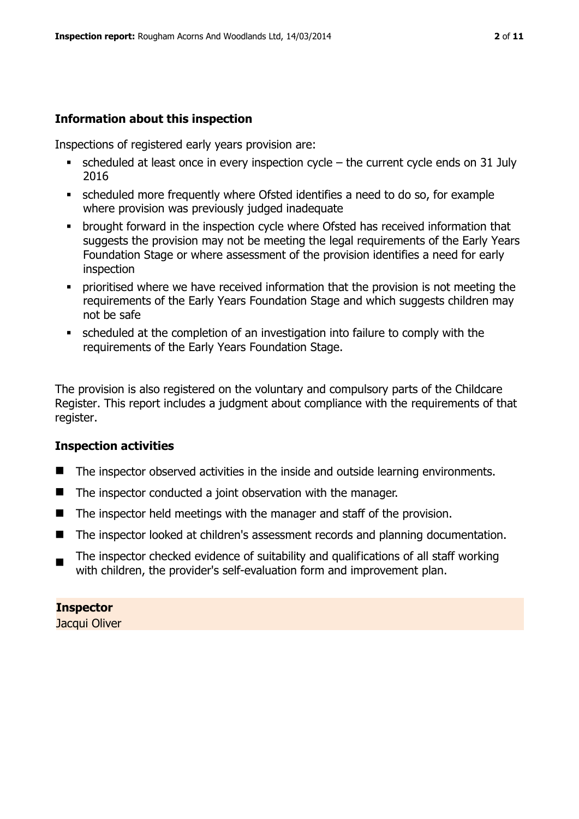# **Information about this inspection**

Inspections of registered early years provision are:

- $\bullet$  scheduled at least once in every inspection cycle the current cycle ends on 31 July 2016
- scheduled more frequently where Ofsted identifies a need to do so, for example where provision was previously judged inadequate
- **•** brought forward in the inspection cycle where Ofsted has received information that suggests the provision may not be meeting the legal requirements of the Early Years Foundation Stage or where assessment of the provision identifies a need for early inspection
- **Prioritised where we have received information that the provision is not meeting the** requirements of the Early Years Foundation Stage and which suggests children may not be safe
- scheduled at the completion of an investigation into failure to comply with the requirements of the Early Years Foundation Stage.

The provision is also registered on the voluntary and compulsory parts of the Childcare Register. This report includes a judgment about compliance with the requirements of that register.

# **Inspection activities**

- The inspector observed activities in the inside and outside learning environments.
- The inspector conducted a joint observation with the manager.
- $\blacksquare$  The inspector held meetings with the manager and staff of the provision.
- The inspector looked at children's assessment records and planning documentation.
- The inspector checked evidence of suitability and qualifications of all staff working with children, the provider's self-evaluation form and improvement plan.

# **Inspector**

Jacqui Oliver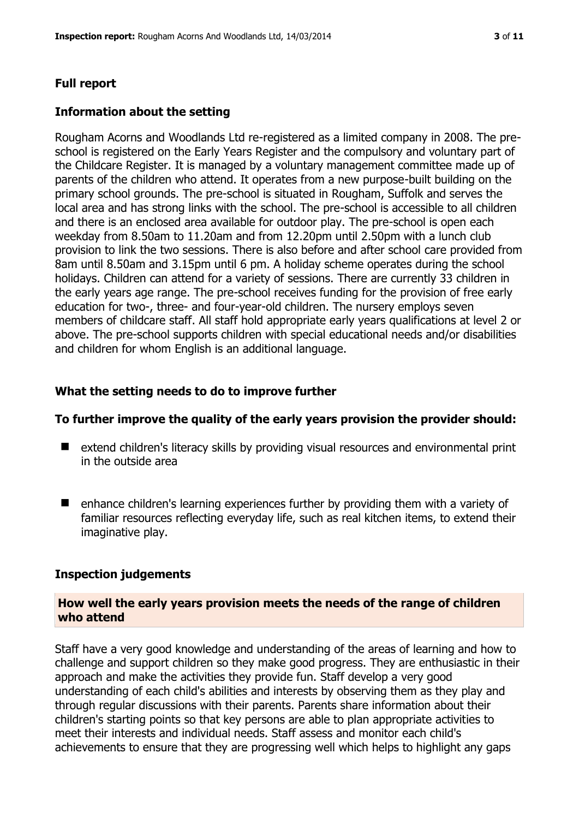#### **Full report**

#### **Information about the setting**

Rougham Acorns and Woodlands Ltd re-registered as a limited company in 2008. The preschool is registered on the Early Years Register and the compulsory and voluntary part of the Childcare Register. It is managed by a voluntary management committee made up of parents of the children who attend. It operates from a new purpose-built building on the primary school grounds. The pre-school is situated in Rougham, Suffolk and serves the local area and has strong links with the school. The pre-school is accessible to all children and there is an enclosed area available for outdoor play. The pre-school is open each weekday from 8.50am to 11.20am and from 12.20pm until 2.50pm with a lunch club provision to link the two sessions. There is also before and after school care provided from 8am until 8.50am and 3.15pm until 6 pm. A holiday scheme operates during the school holidays. Children can attend for a variety of sessions. There are currently 33 children in the early years age range. The pre-school receives funding for the provision of free early education for two-, three- and four-year-old children. The nursery employs seven members of childcare staff. All staff hold appropriate early years qualifications at level 2 or above. The pre-school supports children with special educational needs and/or disabilities and children for whom English is an additional language.

#### **What the setting needs to do to improve further**

#### **To further improve the quality of the early years provision the provider should:**

- extend children's literacy skills by providing visual resources and environmental print in the outside area
- $\blacksquare$  enhance children's learning experiences further by providing them with a variety of familiar resources reflecting everyday life, such as real kitchen items, to extend their imaginative play.

#### **Inspection judgements**

#### **How well the early years provision meets the needs of the range of children who attend**

Staff have a very good knowledge and understanding of the areas of learning and how to challenge and support children so they make good progress. They are enthusiastic in their approach and make the activities they provide fun. Staff develop a very good understanding of each child's abilities and interests by observing them as they play and through regular discussions with their parents. Parents share information about their children's starting points so that key persons are able to plan appropriate activities to meet their interests and individual needs. Staff assess and monitor each child's achievements to ensure that they are progressing well which helps to highlight any gaps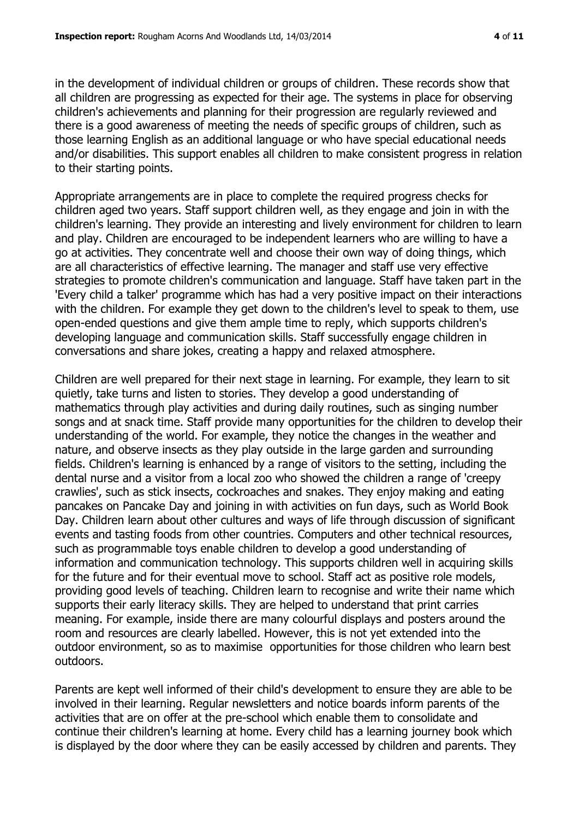in the development of individual children or groups of children. These records show that all children are progressing as expected for their age. The systems in place for observing children's achievements and planning for their progression are regularly reviewed and there is a good awareness of meeting the needs of specific groups of children, such as those learning English as an additional language or who have special educational needs and/or disabilities. This support enables all children to make consistent progress in relation to their starting points.

Appropriate arrangements are in place to complete the required progress checks for children aged two years. Staff support children well, as they engage and join in with the children's learning. They provide an interesting and lively environment for children to learn and play. Children are encouraged to be independent learners who are willing to have a go at activities. They concentrate well and choose their own way of doing things, which are all characteristics of effective learning. The manager and staff use very effective strategies to promote children's communication and language. Staff have taken part in the 'Every child a talker' programme which has had a very positive impact on their interactions with the children. For example they get down to the children's level to speak to them, use open-ended questions and give them ample time to reply, which supports children's developing language and communication skills. Staff successfully engage children in conversations and share jokes, creating a happy and relaxed atmosphere.

Children are well prepared for their next stage in learning. For example, they learn to sit quietly, take turns and listen to stories. They develop a good understanding of mathematics through play activities and during daily routines, such as singing number songs and at snack time. Staff provide many opportunities for the children to develop their understanding of the world. For example, they notice the changes in the weather and nature, and observe insects as they play outside in the large garden and surrounding fields. Children's learning is enhanced by a range of visitors to the setting, including the dental nurse and a visitor from a local zoo who showed the children a range of 'creepy crawlies', such as stick insects, cockroaches and snakes. They enjoy making and eating pancakes on Pancake Day and joining in with activities on fun days, such as World Book Day. Children learn about other cultures and ways of life through discussion of significant events and tasting foods from other countries. Computers and other technical resources, such as programmable toys enable children to develop a good understanding of information and communication technology. This supports children well in acquiring skills for the future and for their eventual move to school. Staff act as positive role models, providing good levels of teaching. Children learn to recognise and write their name which supports their early literacy skills. They are helped to understand that print carries meaning. For example, inside there are many colourful displays and posters around the room and resources are clearly labelled. However, this is not yet extended into the outdoor environment, so as to maximise opportunities for those children who learn best outdoors.

Parents are kept well informed of their child's development to ensure they are able to be involved in their learning. Regular newsletters and notice boards inform parents of the activities that are on offer at the pre-school which enable them to consolidate and continue their children's learning at home. Every child has a learning journey book which is displayed by the door where they can be easily accessed by children and parents. They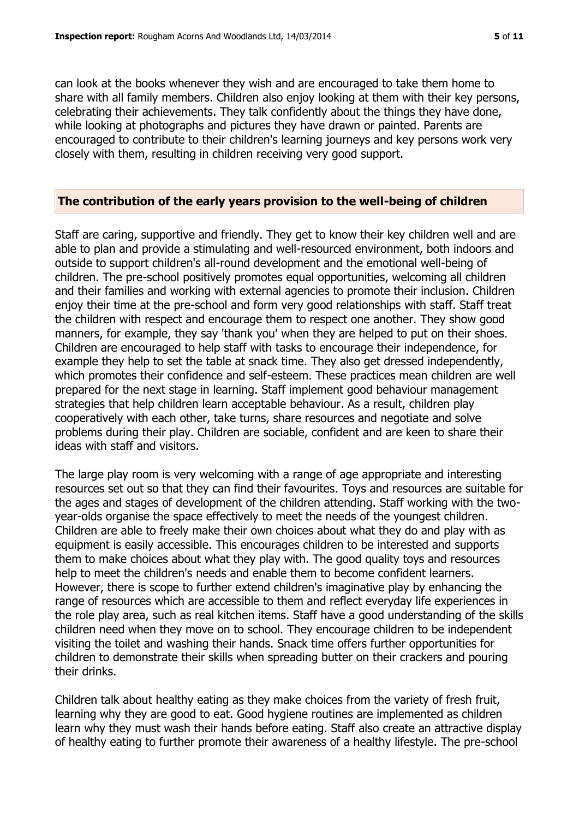can look at the books whenever they wish and are encouraged to take them home to share with all family members. Children also enjoy looking at them with their key persons, celebrating their achievements. They talk confidently about the things they have done, while looking at photographs and pictures they have drawn or painted. Parents are encouraged to contribute to their children's learning journeys and key persons work very closely with them, resulting in children receiving very good support.

#### **The contribution of the early years provision to the well-being of children**

Staff are caring, supportive and friendly. They get to know their key children well and are able to plan and provide a stimulating and well-resourced environment, both indoors and outside to support children's all-round development and the emotional well-being of children. The pre-school positively promotes equal opportunities, welcoming all children and their families and working with external agencies to promote their inclusion. Children enjoy their time at the pre-school and form very good relationships with staff. Staff treat the children with respect and encourage them to respect one another. They show good manners, for example, they say 'thank you' when they are helped to put on their shoes. Children are encouraged to help staff with tasks to encourage their independence, for example they help to set the table at snack time. They also get dressed independently, which promotes their confidence and self-esteem. These practices mean children are well prepared for the next stage in learning. Staff implement good behaviour management strategies that help children learn acceptable behaviour. As a result, children play cooperatively with each other, take turns, share resources and negotiate and solve problems during their play. Children are sociable, confident and are keen to share their ideas with staff and visitors.

The large play room is very welcoming with a range of age appropriate and interesting resources set out so that they can find their favourites. Toys and resources are suitable for the ages and stages of development of the children attending. Staff working with the twoyear-olds organise the space effectively to meet the needs of the youngest children. Children are able to freely make their own choices about what they do and play with as equipment is easily accessible. This encourages children to be interested and supports them to make choices about what they play with. The good quality toys and resources help to meet the children's needs and enable them to become confident learners. However, there is scope to further extend children's imaginative play by enhancing the range of resources which are accessible to them and reflect everyday life experiences in the role play area, such as real kitchen items. Staff have a good understanding of the skills children need when they move on to school. They encourage children to be independent visiting the toilet and washing their hands. Snack time offers further opportunities for children to demonstrate their skills when spreading butter on their crackers and pouring their drinks.

Children talk about healthy eating as they make choices from the variety of fresh fruit, learning why they are good to eat. Good hygiene routines are implemented as children learn why they must wash their hands before eating. Staff also create an attractive display of healthy eating to further promote their awareness of a healthy lifestyle. The pre-school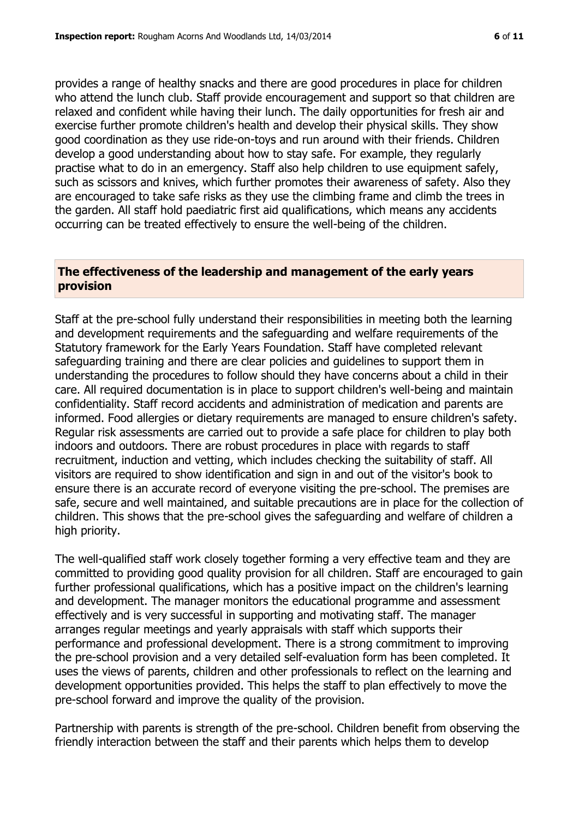provides a range of healthy snacks and there are good procedures in place for children who attend the lunch club. Staff provide encouragement and support so that children are relaxed and confident while having their lunch. The daily opportunities for fresh air and exercise further promote children's health and develop their physical skills. They show good coordination as they use ride-on-toys and run around with their friends. Children develop a good understanding about how to stay safe. For example, they regularly practise what to do in an emergency. Staff also help children to use equipment safely, such as scissors and knives, which further promotes their awareness of safety. Also they are encouraged to take safe risks as they use the climbing frame and climb the trees in the garden. All staff hold paediatric first aid qualifications, which means any accidents occurring can be treated effectively to ensure the well-being of the children.

### **The effectiveness of the leadership and management of the early years provision**

Staff at the pre-school fully understand their responsibilities in meeting both the learning and development requirements and the safeguarding and welfare requirements of the Statutory framework for the Early Years Foundation. Staff have completed relevant safeguarding training and there are clear policies and guidelines to support them in understanding the procedures to follow should they have concerns about a child in their care. All required documentation is in place to support children's well-being and maintain confidentiality. Staff record accidents and administration of medication and parents are informed. Food allergies or dietary requirements are managed to ensure children's safety. Regular risk assessments are carried out to provide a safe place for children to play both indoors and outdoors. There are robust procedures in place with regards to staff recruitment, induction and vetting, which includes checking the suitability of staff. All visitors are required to show identification and sign in and out of the visitor's book to ensure there is an accurate record of everyone visiting the pre-school. The premises are safe, secure and well maintained, and suitable precautions are in place for the collection of children. This shows that the pre-school gives the safeguarding and welfare of children a high priority.

The well-qualified staff work closely together forming a very effective team and they are committed to providing good quality provision for all children. Staff are encouraged to gain further professional qualifications, which has a positive impact on the children's learning and development. The manager monitors the educational programme and assessment effectively and is very successful in supporting and motivating staff. The manager arranges regular meetings and yearly appraisals with staff which supports their performance and professional development. There is a strong commitment to improving the pre-school provision and a very detailed self-evaluation form has been completed. It uses the views of parents, children and other professionals to reflect on the learning and development opportunities provided. This helps the staff to plan effectively to move the pre-school forward and improve the quality of the provision.

Partnership with parents is strength of the pre-school. Children benefit from observing the friendly interaction between the staff and their parents which helps them to develop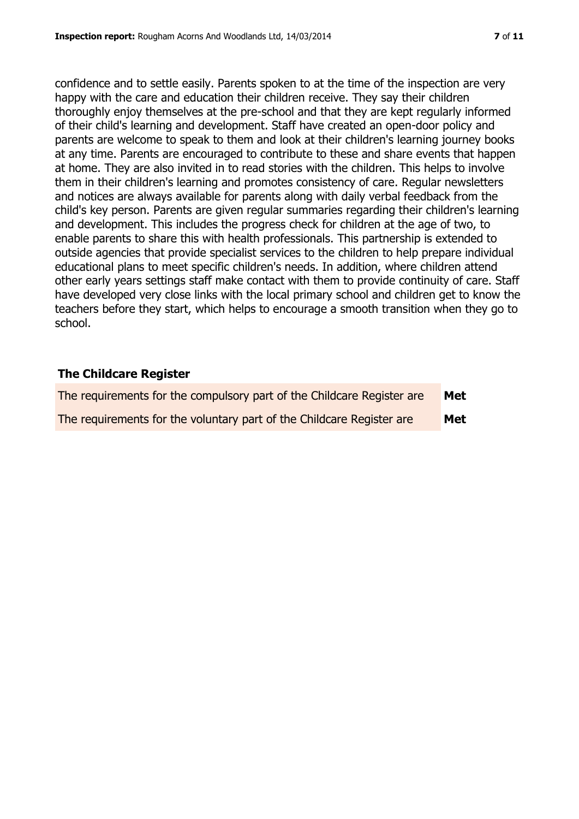confidence and to settle easily. Parents spoken to at the time of the inspection are very happy with the care and education their children receive. They say their children thoroughly enjoy themselves at the pre-school and that they are kept regularly informed of their child's learning and development. Staff have created an open-door policy and parents are welcome to speak to them and look at their children's learning journey books at any time. Parents are encouraged to contribute to these and share events that happen at home. They are also invited in to read stories with the children. This helps to involve them in their children's learning and promotes consistency of care. Regular newsletters and notices are always available for parents along with daily verbal feedback from the child's key person. Parents are given regular summaries regarding their children's learning and development. This includes the progress check for children at the age of two, to enable parents to share this with health professionals. This partnership is extended to outside agencies that provide specialist services to the children to help prepare individual educational plans to meet specific children's needs. In addition, where children attend other early years settings staff make contact with them to provide continuity of care. Staff have developed very close links with the local primary school and children get to know the teachers before they start, which helps to encourage a smooth transition when they go to school.

## **The Childcare Register**

| The requirements for the compulsory part of the Childcare Register are | Met |
|------------------------------------------------------------------------|-----|
| The requirements for the voluntary part of the Childcare Register are  | Met |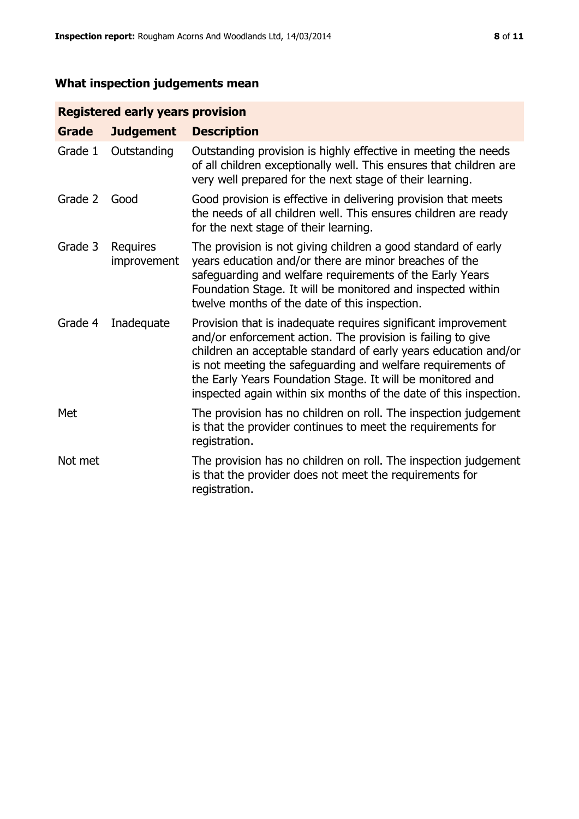# **What inspection judgements mean**

# **Registered early years provision**

| <b>Grade</b> | <b>Judgement</b>        | <b>Description</b>                                                                                                                                                                                                                                                                                                                                                                                |
|--------------|-------------------------|---------------------------------------------------------------------------------------------------------------------------------------------------------------------------------------------------------------------------------------------------------------------------------------------------------------------------------------------------------------------------------------------------|
| Grade 1      | Outstanding             | Outstanding provision is highly effective in meeting the needs<br>of all children exceptionally well. This ensures that children are<br>very well prepared for the next stage of their learning.                                                                                                                                                                                                  |
| Grade 2      | Good                    | Good provision is effective in delivering provision that meets<br>the needs of all children well. This ensures children are ready<br>for the next stage of their learning.                                                                                                                                                                                                                        |
| Grade 3      | Requires<br>improvement | The provision is not giving children a good standard of early<br>years education and/or there are minor breaches of the<br>safeguarding and welfare requirements of the Early Years<br>Foundation Stage. It will be monitored and inspected within<br>twelve months of the date of this inspection.                                                                                               |
| Grade 4      | Inadequate              | Provision that is inadequate requires significant improvement<br>and/or enforcement action. The provision is failing to give<br>children an acceptable standard of early years education and/or<br>is not meeting the safeguarding and welfare requirements of<br>the Early Years Foundation Stage. It will be monitored and<br>inspected again within six months of the date of this inspection. |
| Met          |                         | The provision has no children on roll. The inspection judgement<br>is that the provider continues to meet the requirements for<br>registration.                                                                                                                                                                                                                                                   |
| Not met      |                         | The provision has no children on roll. The inspection judgement<br>is that the provider does not meet the requirements for<br>registration.                                                                                                                                                                                                                                                       |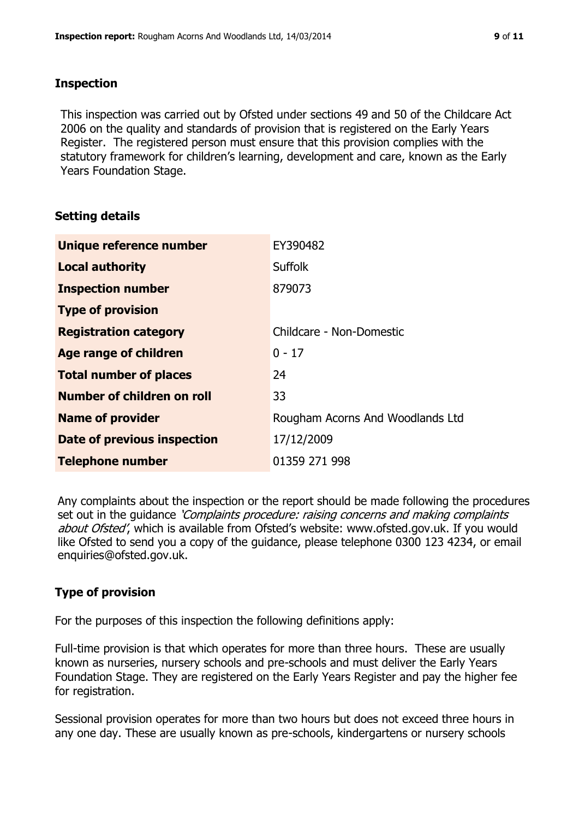## **Inspection**

This inspection was carried out by Ofsted under sections 49 and 50 of the Childcare Act 2006 on the quality and standards of provision that is registered on the Early Years Register. The registered person must ensure that this provision complies with the statutory framework for children's learning, development and care, known as the Early Years Foundation Stage.

# **Setting details**

| Unique reference number       | EY390482                         |
|-------------------------------|----------------------------------|
| <b>Local authority</b>        | <b>Suffolk</b>                   |
| <b>Inspection number</b>      | 879073                           |
| <b>Type of provision</b>      |                                  |
| <b>Registration category</b>  | Childcare - Non-Domestic         |
| Age range of children         | $0 - 17$                         |
| <b>Total number of places</b> | 24                               |
| Number of children on roll    | 33                               |
| <b>Name of provider</b>       | Rougham Acorns And Woodlands Ltd |
| Date of previous inspection   | 17/12/2009                       |
| <b>Telephone number</b>       | 01359 271 998                    |

Any complaints about the inspection or the report should be made following the procedures set out in the guidance *'Complaints procedure: raising concerns and making complaints* about Ofsted', which is available from Ofsted's website: www.ofsted.gov.uk. If you would like Ofsted to send you a copy of the guidance, please telephone 0300 123 4234, or email enquiries@ofsted.gov.uk.

# **Type of provision**

For the purposes of this inspection the following definitions apply:

Full-time provision is that which operates for more than three hours. These are usually known as nurseries, nursery schools and pre-schools and must deliver the Early Years Foundation Stage. They are registered on the Early Years Register and pay the higher fee for registration.

Sessional provision operates for more than two hours but does not exceed three hours in any one day. These are usually known as pre-schools, kindergartens or nursery schools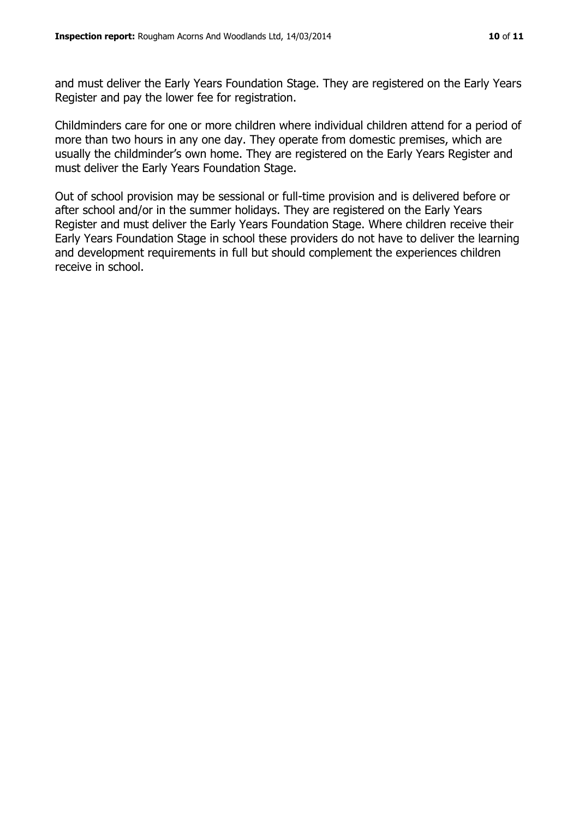and must deliver the Early Years Foundation Stage. They are registered on the Early Years Register and pay the lower fee for registration.

Childminders care for one or more children where individual children attend for a period of more than two hours in any one day. They operate from domestic premises, which are usually the childminder's own home. They are registered on the Early Years Register and must deliver the Early Years Foundation Stage.

Out of school provision may be sessional or full-time provision and is delivered before or after school and/or in the summer holidays. They are registered on the Early Years Register and must deliver the Early Years Foundation Stage. Where children receive their Early Years Foundation Stage in school these providers do not have to deliver the learning and development requirements in full but should complement the experiences children receive in school.